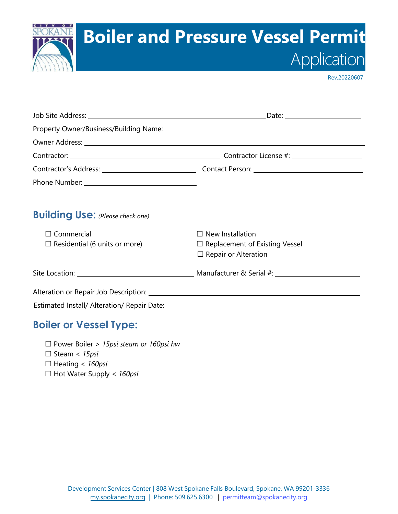

Rev.20220607

|                                         | Date: _______________________         |  |  |  |
|-----------------------------------------|---------------------------------------|--|--|--|
|                                         |                                       |  |  |  |
|                                         |                                       |  |  |  |
|                                         |                                       |  |  |  |
|                                         |                                       |  |  |  |
|                                         |                                       |  |  |  |
| <b>Building Use:</b> (Please check one) |                                       |  |  |  |
| Commercial                              | $\Box$ New Installation               |  |  |  |
| $\Box$ Residential (6 units or more)    | $\Box$ Replacement of Existing Vessel |  |  |  |
|                                         | $\Box$ Repair or Alteration           |  |  |  |
|                                         |                                       |  |  |  |
|                                         |                                       |  |  |  |
|                                         |                                       |  |  |  |

## **Boiler or Vessel Type:**

☐ Power Boiler > *15psi steam or 160psi hw*

☐ Steam < *15psi*

☐ Heating < *160psi*

☐ Hot Water Supply < *160psi*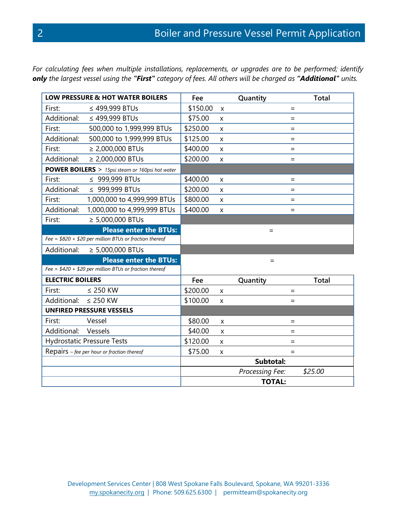*For calculating fees when multiple installations, replacements, or upgrades are to be performed; identify only the largest vessel using the "First" category of fees. All others will be charged as "Additional" units.*

| <b>LOW PRESSURE &amp; HOT WATER BOILERS</b>             |                                   | Fee       |                | Quantity        | <b>Total</b> |
|---------------------------------------------------------|-----------------------------------|-----------|----------------|-----------------|--------------|
| First:                                                  | ≤ 499,999 BTUs                    | \$150.00  | $\mathsf{x}$   |                 | $=$          |
| Additional:                                             | ≤ 499,999 BTUs                    | \$75.00   | X              |                 | $=$          |
| First:                                                  | 500,000 to 1,999,999 BTUs         | \$250.00  | X              |                 | $=$          |
| Additional:                                             | 500,000 to 1,999,999 BTUs         | \$125.00  | X              |                 | $=$          |
| First:                                                  | $\geq$ 2,000,000 BTUs             | \$400.00  | X              |                 | $=$          |
| Additional:                                             | $\geq$ 2,000,000 BTUs             | \$200.00  | X              |                 | $=$          |
| <b>POWER BOILERS</b> > 15psi steam or 160psi hot water  |                                   |           |                |                 |              |
| First:                                                  | ≤ 999,999 BTUs                    | \$400.00  | X              |                 | $=$          |
| Additional:                                             | ≤ 999,999 BTUs                    | \$200.00  | X              |                 | $=$          |
| First:                                                  | 1,000,000 to 4,999,999 BTUs       | \$800.00  | X              |                 | $=$          |
| Additional:                                             | 1,000,000 to 4,999,999 BTUs       | \$400.00  | X              |                 | $=$          |
| First:                                                  | $\geq 5,000,000$ BTUs             |           |                |                 |              |
|                                                         | <b>Please enter the BTUs:</b>     |           |                | $=$             |              |
| Fee = $$820 + $20$ per million BTUs or fraction thereof |                                   |           |                |                 |              |
|                                                         | Additional: $\geq 5,000,000$ BTUs |           |                |                 |              |
|                                                         | <b>Please enter the BTUs:</b>     |           |                | $=$             |              |
| Fee = $$420 + $20$ per million BTUs or fraction thereof |                                   |           |                |                 |              |
| <b>ELECTRIC BOILERS</b>                                 |                                   | Fee       |                | Quantity        | <b>Total</b> |
| First:                                                  | $\leq$ 250 KW                     | \$200.00  | X              |                 | $=$          |
| Additional: $\leq$ 250 KW                               |                                   | \$100.00  | X              |                 | $=$          |
| <b>UNFIRED PRESSURE VESSELS</b>                         |                                   |           |                |                 |              |
| First:                                                  | Vessel                            | \$80.00   | $\mathsf{x}$   |                 | $=$          |
| Additional:                                             | Vessels                           | \$40.00   | $\pmb{\times}$ |                 | $=$          |
| <b>Hydrostatic Pressure Tests</b>                       |                                   | \$120.00  | X              |                 | $=$          |
| Repairs $-$ fee per hour or fraction thereof            |                                   | \$75.00   | X              |                 | $=$          |
|                                                         |                                   | Subtotal: |                |                 |              |
|                                                         |                                   |           |                | Processing Fee: | \$25.00      |
| <b>TOTAL:</b>                                           |                                   |           |                |                 |              |